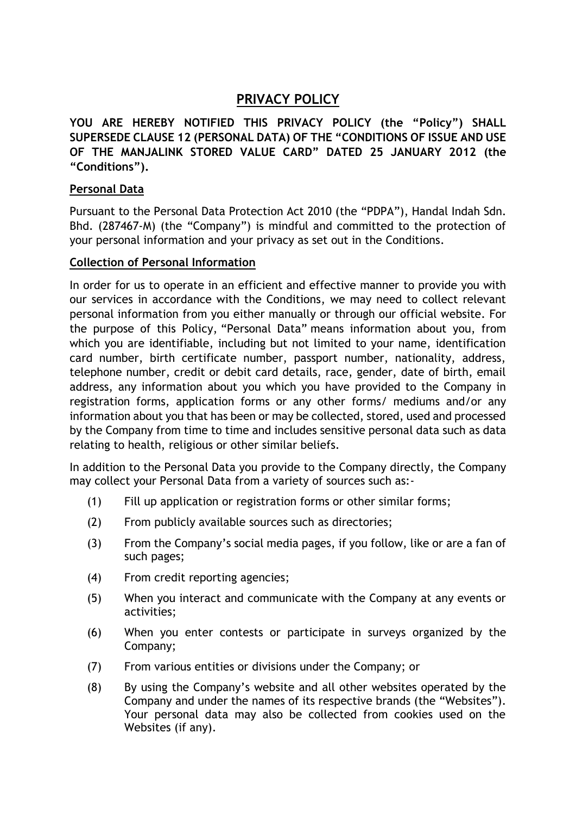# **PRIVACY POLICY**

**YOU ARE HEREBY NOTIFIED THIS PRIVACY POLICY (the "Policy") SHALL SUPERSEDE CLAUSE 12 (PERSONAL DATA) OF THE "CONDITIONS OF ISSUE AND USE OF THE MANJALINK STORED VALUE CARD" DATED 25 JANUARY 2012 (the "Conditions").**

## **Personal Data**

Pursuant to the Personal Data Protection Act 2010 (the "PDPA"), Handal Indah Sdn. Bhd. (287467-M) (the "Company") is mindful and committed to the protection of your personal information and your privacy as set out in the Conditions.

## **Collection of Personal Information**

In order for us to operate in an efficient and effective manner to provide you with our services in accordance with the Conditions, we may need to collect relevant personal information from you either manually or through our official website. For the purpose of this Policy, "Personal Data" means information about you, from which you are identifiable, including but not limited to your name, identification card number, birth certificate number, passport number, nationality, address, telephone number, credit or debit card details, race, gender, date of birth, email address, any information about you which you have provided to the Company in registration forms, application forms or any other forms/ mediums and/or any information about you that has been or may be collected, stored, used and processed by the Company from time to time and includes sensitive personal data such as data relating to health, religious or other similar beliefs.

In addition to the Personal Data you provide to the Company directly, the Company may collect your Personal Data from a variety of sources such as:-

- (1) Fill up application or registration forms or other similar forms;
- (2) From publicly available sources such as directories;
- (3) From the Company's social media pages, if you follow, like or are a fan of such pages;
- (4) From credit reporting agencies;
- (5) When you interact and communicate with the Company at any events or activities;
- (6) When you enter contests or participate in surveys organized by the Company;
- (7) From various entities or divisions under the Company; or
- (8) By using the Company's website and all other websites operated by the Company and under the names of its respective brands (the "Websites"). Your personal data may also be collected from cookies used on the Websites (if any).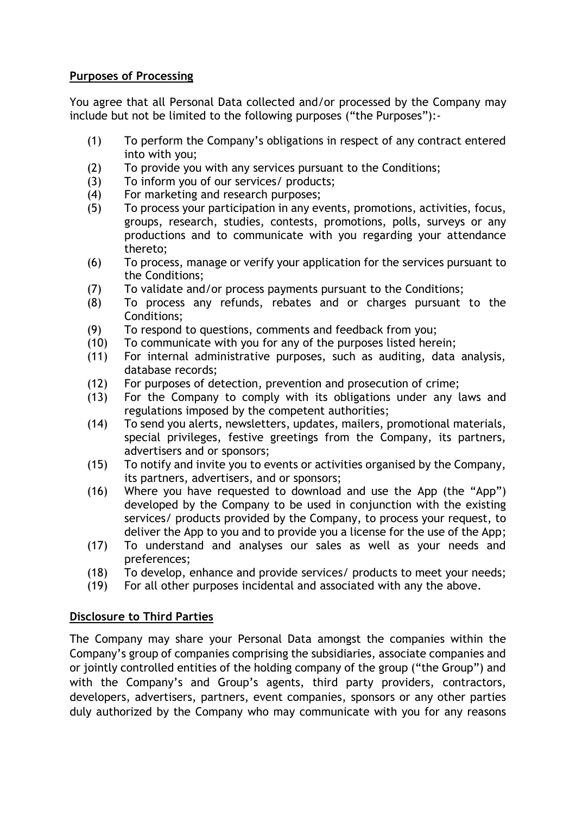# **Purposes of Processing**

You agree that all Personal Data collected and/or processed by the Company may include but not be limited to the following purposes ("the Purposes"):-

- (1) To perform the Company's obligations in respect of any contract entered into with you;
- (2) To provide you with any services pursuant to the Conditions;
- (3) To inform you of our services/ products;
- (4) For marketing and research purposes;
- (5) To process your participation in any events, promotions, activities, focus, groups, research, studies, contests, promotions, polls, surveys or any productions and to communicate with you regarding your attendance thereto;
- (6) To process, manage or verify your application for the services pursuant to the Conditions;
- (7) To validate and/or process payments pursuant to the Conditions;
- (8) To process any refunds, rebates and or charges pursuant to the Conditions;
- (9) To respond to questions, comments and feedback from you;
- (10) To communicate with you for any of the purposes listed herein;
- (11) For internal administrative purposes, such as auditing, data analysis, database records;
- (12) For purposes of detection, prevention and prosecution of crime;
- (13) For the Company to comply with its obligations under any laws and regulations imposed by the competent authorities;
- (14) To send you alerts, newsletters, updates, mailers, promotional materials, special privileges, festive greetings from the Company, its partners, advertisers and or sponsors;
- (15) To notify and invite you to events or activities organised by the Company, its partners, advertisers, and or sponsors;
- (16) Where you have requested to download and use the App (the "App") developed by the Company to be used in conjunction with the existing services/ products provided by the Company, to process your request, to deliver the App to you and to provide you a license for the use of the App;
- (17) To understand and analyses our sales as well as your needs and preferences;
- (18) To develop, enhance and provide services/ products to meet your needs;
- (19) For all other purposes incidental and associated with any the above.

# **Disclosure to Third Parties**

The Company may share your Personal Data amongst the companies within the Company's group of companies comprising the subsidiaries, associate companies and or jointly controlled entities of the holding company of the group ("the Group") and with the Company's and Group's agents, third party providers, contractors, developers, advertisers, partners, event companies, sponsors or any other parties duly authorized by the Company who may communicate with you for any reasons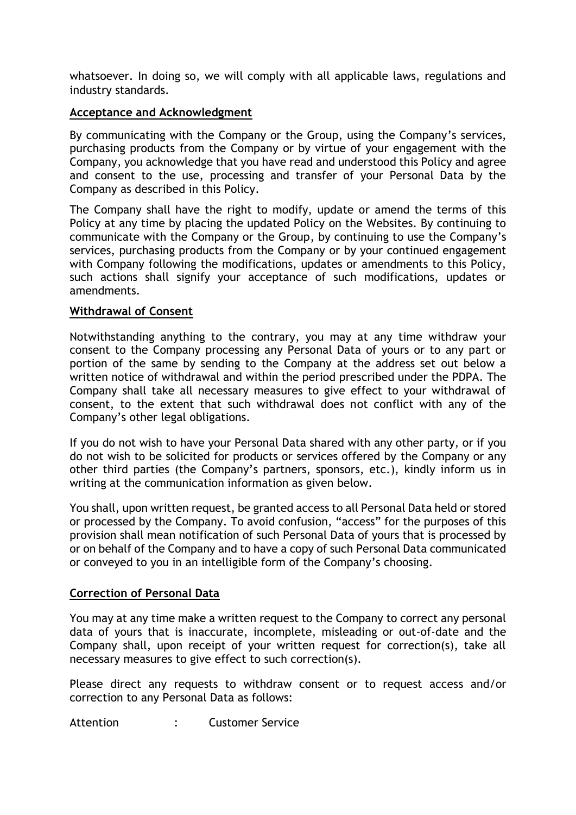whatsoever. In doing so, we will comply with all applicable laws, regulations and industry standards.

## **Acceptance and Acknowledgment**

By communicating with the Company or the Group, using the Company's services, purchasing products from the Company or by virtue of your engagement with the Company, you acknowledge that you have read and understood this Policy and agree and consent to the use, processing and transfer of your Personal Data by the Company as described in this Policy.

The Company shall have the right to modify, update or amend the terms of this Policy at any time by placing the updated Policy on the Websites. By continuing to communicate with the Company or the Group, by continuing to use the Company's services, purchasing products from the Company or by your continued engagement with Company following the modifications, updates or amendments to this Policy, such actions shall signify your acceptance of such modifications, updates or amendments.

### **Withdrawal of Consent**

Notwithstanding anything to the contrary, you may at any time withdraw your consent to the Company processing any Personal Data of yours or to any part or portion of the same by sending to the Company at the address set out below a written notice of withdrawal and within the period prescribed under the PDPA. The Company shall take all necessary measures to give effect to your withdrawal of consent, to the extent that such withdrawal does not conflict with any of the Company's other legal obligations.

If you do not wish to have your Personal Data shared with any other party, or if you do not wish to be solicited for products or services offered by the Company or any other third parties (the Company's partners, sponsors, etc.), kindly inform us in writing at the communication information as given below.

You shall, upon written request, be granted access to all Personal Data held or stored or processed by the Company. To avoid confusion, "access" for the purposes of this provision shall mean notification of such Personal Data of yours that is processed by or on behalf of the Company and to have a copy of such Personal Data communicated or conveyed to you in an intelligible form of the Company's choosing.

### **Correction of Personal Data**

You may at any time make a written request to the Company to correct any personal data of yours that is inaccurate, incomplete, misleading or out-of-date and the Company shall, upon receipt of your written request for correction(s), take all necessary measures to give effect to such correction(s).

Please direct any requests to withdraw consent or to request access and/or correction to any Personal Data as follows:

Attention : Customer Service